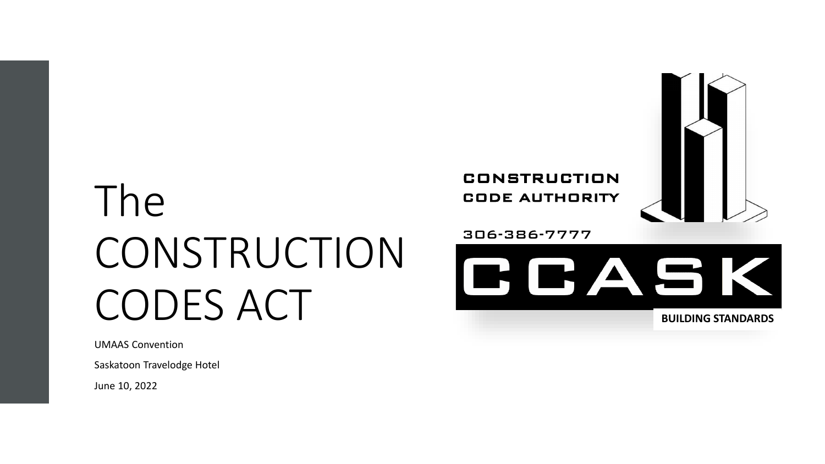# The CONSTRUCTION CODES ACT

UMAAS Convention

Saskatoon Travelodge Hotel

June 10, 2022



**BUILDING STANDARDS**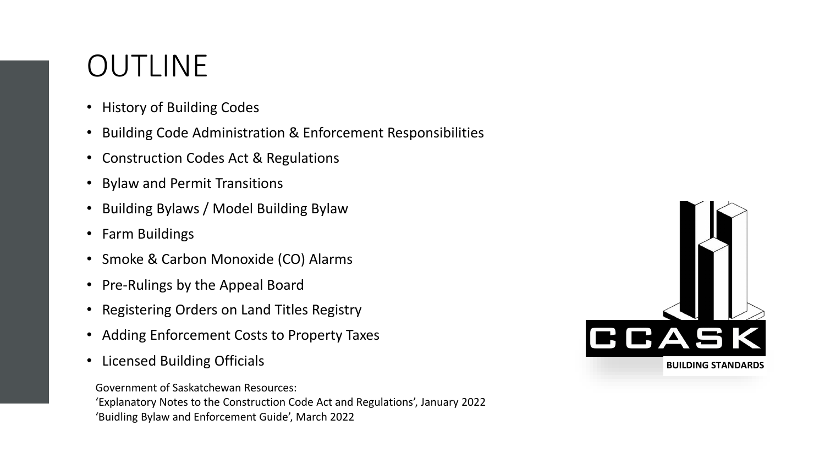### OUTLINE

- History of Building Codes
- Building Code Administration & Enforcement Responsibilities
- Construction Codes Act & Regulations
- Bylaw and Permit Transitions
- Building Bylaws / Model Building Bylaw
- Farm Buildings
- Smoke & Carbon Monoxide (CO) Alarms
- Pre-Rulings by the Appeal Board
- Registering Orders on Land Titles Registry
- Adding Enforcement Costs to Property Taxes
- 

Government of Saskatchewan Resources: 'Explanatory Notes to the Construction Code Act and Regulations', January 2022 'Buidling Bylaw and Enforcement Guide', March 2022

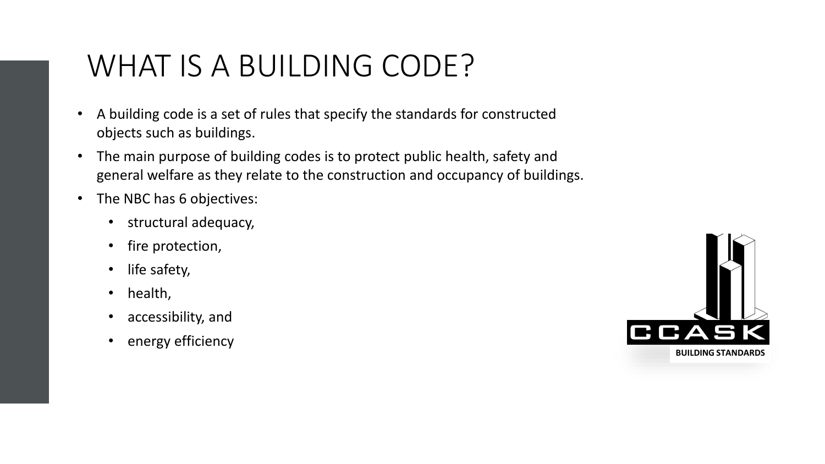### WHAT IS A BUILDING CODE?

- A building code is a set of rules that specify the standards for constructed objects such as buildings.
- The main purpose of building codes is to protect public health, safety and general welfare as they relate to the construction and occupancy of buildings.
- The NBC has 6 objectives:
	- structural adequacy,
	- fire protection,
	- life safety,
	- health,
	- accessibility, and
	- energy efficiency

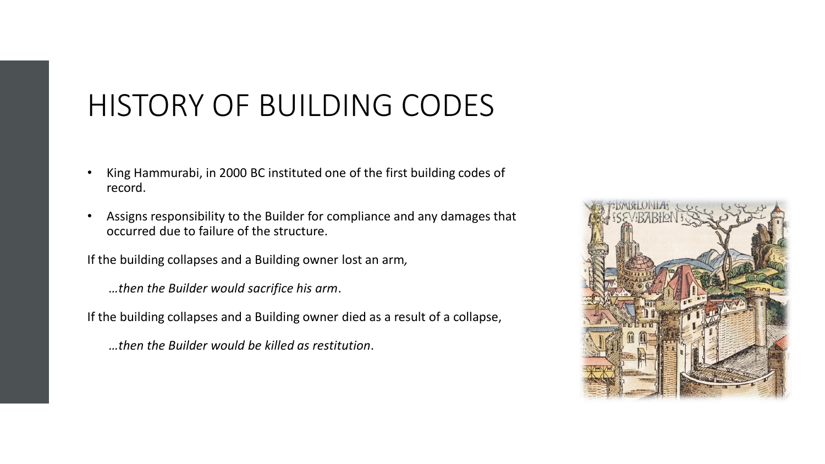#### HISTORY OF BUILDING CODES

- King Hammurabi, in 2000 BC instituted one of the first building codes of record.
- Assigns responsibility to the Builder for compliance and any damages that occurred due to failure of the structure.

If the building collapses and a Building owner lost an arm*,*

*…then the Builder would sacrifice his arm*.

If the building collapses and a Building owner died as a result of a collapse,

*…then the Builder would be killed as restitution*.

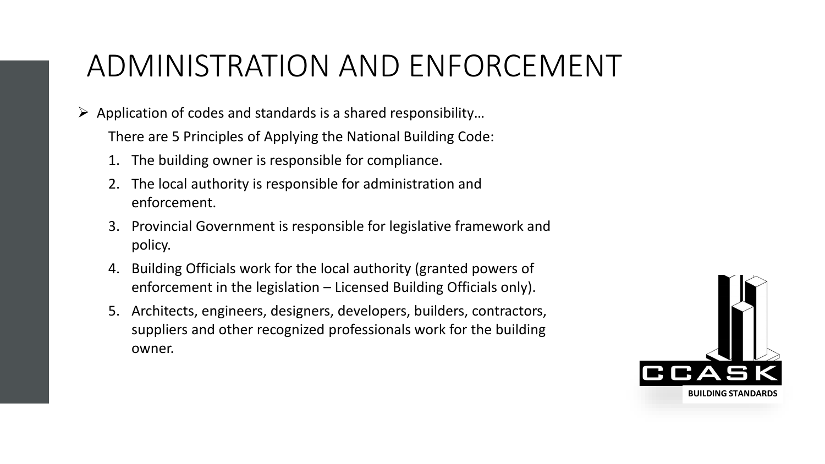# ADMINISTRATION AND ENFORCEMENT

 $\triangleright$  Application of codes and standards is a shared responsibility...

There are 5 Principles of Applying the National Building Code:

- 1. The building owner is responsible for compliance.
- 2. The local authority is responsible for administration and enforcement.
- 3. Provincial Government is responsible for legislative framework and policy.
- 4. Building Officials work for the local authority (granted powers of enforcement in the legislation – Licensed Building Officials only).
- 5. Architects, engineers, designers, developers, builders, contractors, suppliers and other recognized professionals work for the building owner.

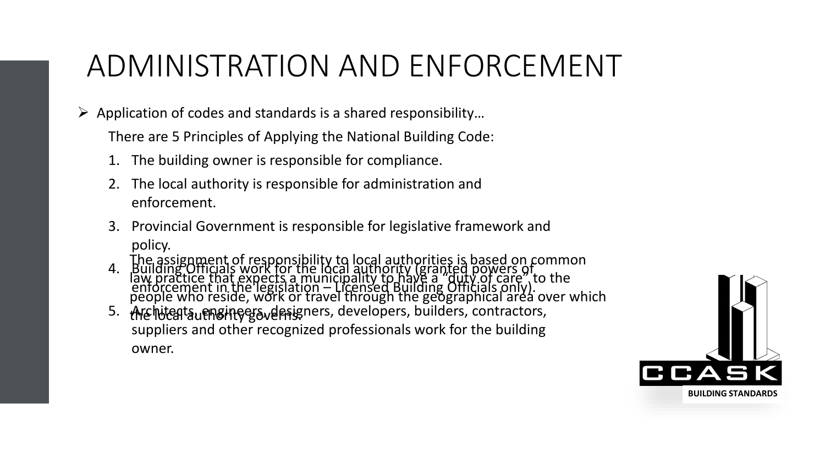# ADMINISTRATION AND ENFORCEMENT

 $\triangleright$  Application of codes and standards is a shared responsibility...

There are 5 Principles of Applying the National Building Code:

- 1. The building owner is responsible for compliance.
- 2. The local authority is responsible for administration and enforcement.
- 3. Provincial Government is responsible for legislative framework and policy.
- 4. Building Officials work for the local authority (granted powers of enforcement in the legislation – Licensed Building Officials only). The assignment of responsibility to local authorities is based on common law practice that expects a municipality to have a "duty of care", to the people who reside, work or travel through the geographical area over which
- 5. Architegts, engineers, designers, developers, builders, contractors, suppliers and other recognized professionals work for the building owner. the Incataufh8htGGover1s

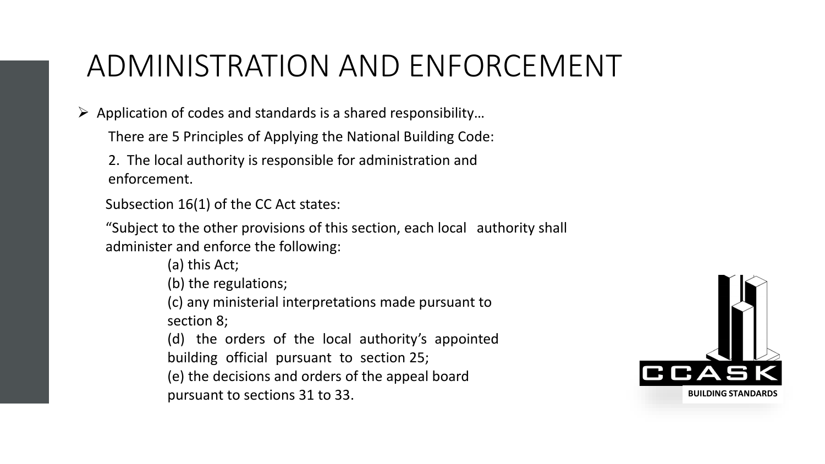# ADMINISTRATION AND ENFORCEMENT

 $\triangleright$  Application of codes and standards is a shared responsibility...

There are 5 Principles of Applying the National Building Code:

2. The local authority is responsible for administration and enforcement.

Subsection 16(1) of the CC Act states:

"Subject to the other provisions of this section, each local authority shall administer and enforce the following:

> (a) this Act; (b) the regulations; (c) any ministerial interpretations made pursuant to section 8; (d) the orders of the local authority's appointed building official pursuant to section 25; (e) the decisions and orders of the appeal board pursuant to sections 31 to 33.

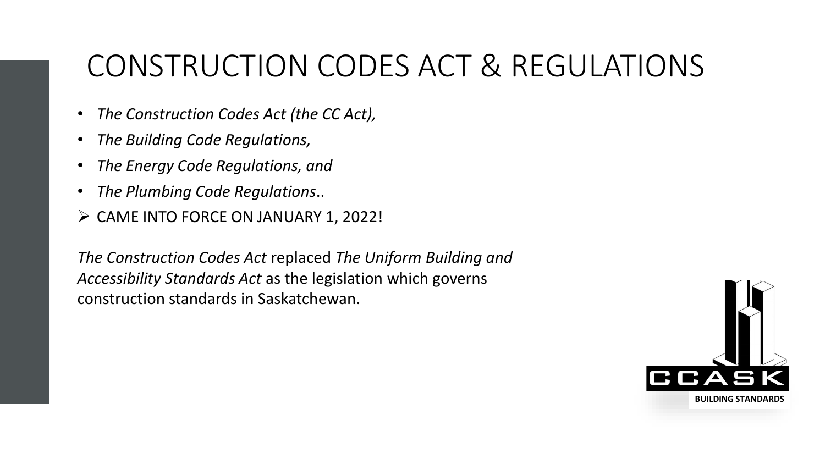## CONSTRUCTION CODES ACT & REGULATIONS

- *The Construction Codes Act (the CC Act),*
- *The Building Code Regulations,*
- *The Energy Code Regulations, and*
- *The Plumbing Code Regulations*..
- ➢ CAME INTO FORCE ON JANUARY 1, 2022!

*The Construction Codes Act* replaced *The Uniform Building and Accessibility Standards Act* as the legislation which governs construction standards in Saskatchewan.

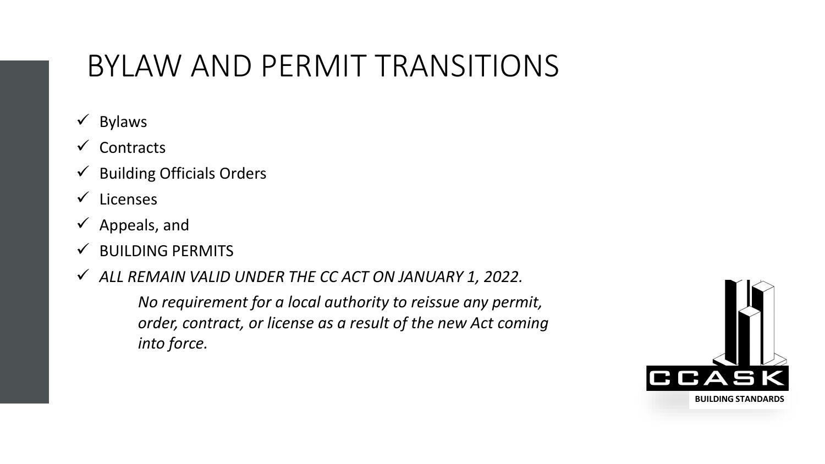### BYLAW AND PERMIT TRANSITIONS

- ✓ Bylaws
- ✓ Contracts
- $\checkmark$  Building Officials Orders
- ✓ Licenses
- $\checkmark$  Appeals, and
- $\checkmark$  BUILDING PERMITS
- ✓ *ALL REMAIN VALID UNDER THE CC ACT ON JANUARY 1, 2022.*

*No requirement for a local authority to reissue any permit, order, contract, or license as a result of the new Act coming into force.*

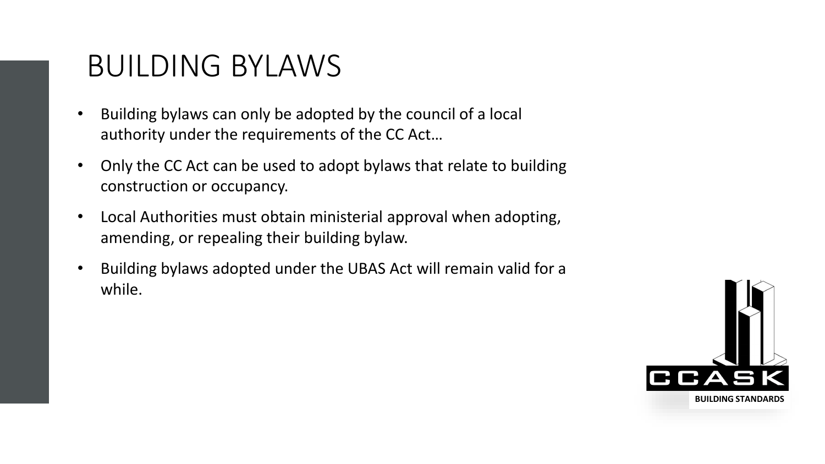#### BUILDING BYLAWS

- Building bylaws can only be adopted by the council of a local authority under the requirements of the CC Act…
- Only the CC Act can be used to adopt bylaws that relate to building construction or occupancy.
- Local Authorities must obtain ministerial approval when adopting, amending, or repealing their building bylaw.
- Building bylaws adopted under the UBAS Act will remain valid for a while.

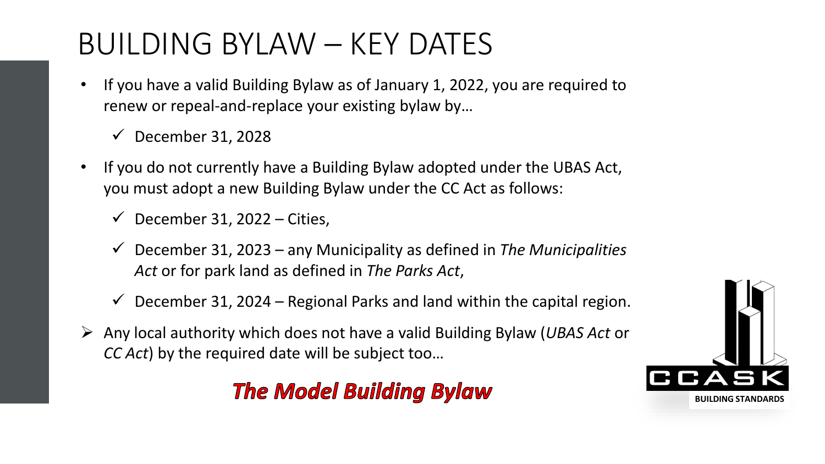### BUILDING BYLAW – KEY DATES

- If you have a valid Building Bylaw as of January 1, 2022, you are required to renew or repeal-and-replace your existing bylaw by…
	- $\checkmark$  December 31, 2028
- If you do not currently have a Building Bylaw adopted under the UBAS Act, you must adopt a new Building Bylaw under the CC Act as follows:
	- $\checkmark$  December 31, 2022 Cities,
	- ✓ December 31, 2023 any Municipality as defined in *The Municipalities Act* or for park land as defined in *The Parks Act*,
	- $\checkmark$  December 31, 2024 Regional Parks and land within the capital region.
- ➢ Any local authority which does not have a valid Building Bylaw (*UBAS Act* or *CC Act*) by the required date will be subject too…

#### **The Model Building Bylaw**

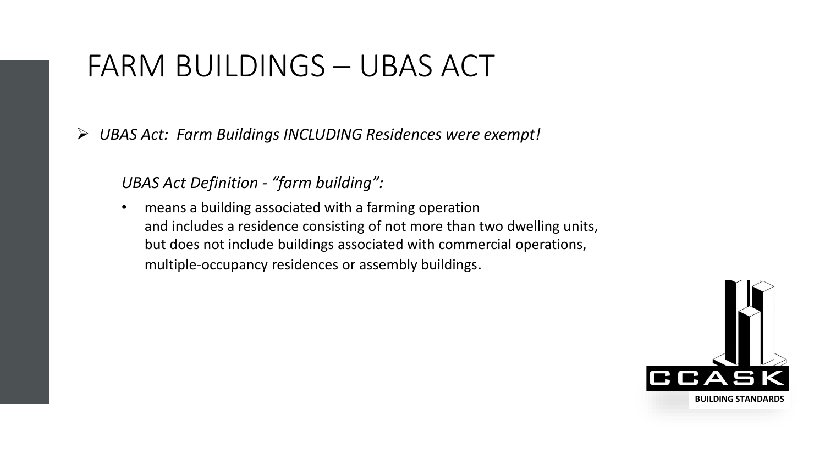#### FARM BUILDINGS – UBAS ACT

➢ *UBAS Act: Farm Buildings INCLUDING Residences were exempt!*

*UBAS Act Definition - "farm building":*

• means a building associated with a farming operation and includes a residence consisting of not more than two dwelling units, but does not include buildings associated with commercial operations, multiple-occupancy residences or assembly buildings.

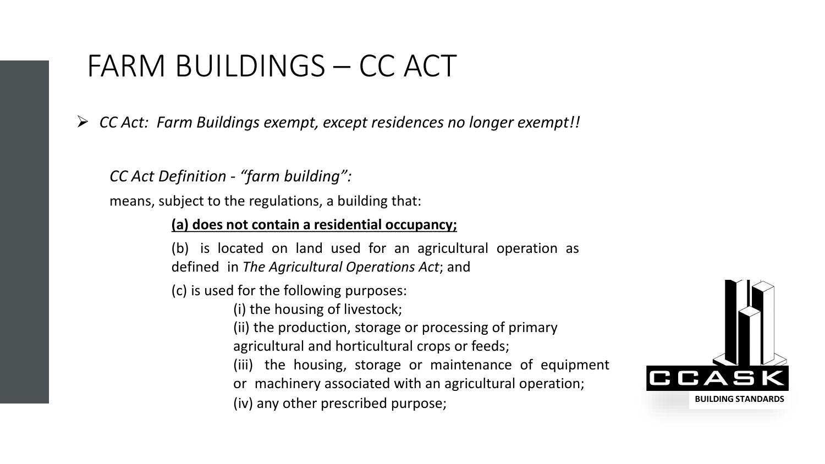#### FARM BUILDINGS – CC ACT

➢ *CC Act: Farm Buildings exempt, except residences no longer exempt!!*

*CC Act Definition - "farm building":*

means, subject to the regulations, a building that:

#### **(a) does not contain a residential occupancy;**

(b) is located on land used for an agricultural operation as defined in *The Agricultural Operations Act*; and

(c) is used for the following purposes:

(i) the housing of livestock;

(ii) the production, storage or processing of primary

agricultural and horticultural crops or feeds;

- (iii) the housing, storage or maintenance of equipment
- or machinery associated with an agricultural operation;

(iv) any other prescribed purpose;

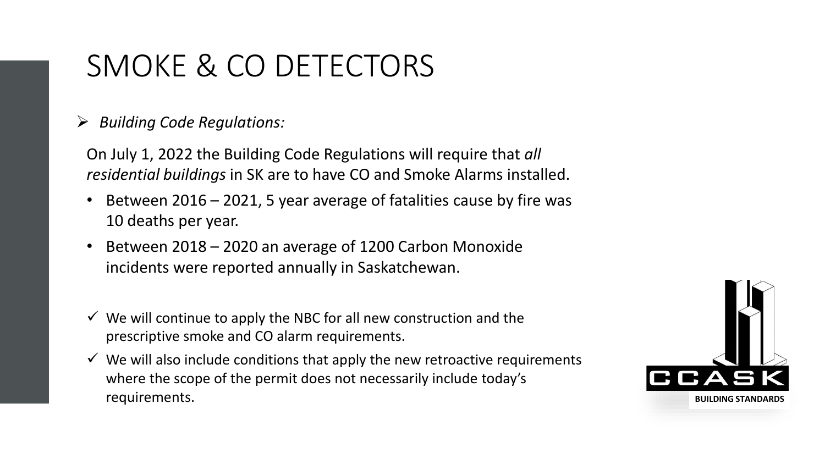#### SMOKE & CO DETECTORS

#### ➢ *Building Code Regulations:*

On July 1, 2022 the Building Code Regulations will require that *all residential buildings* in SK are to have CO and Smoke Alarms installed.

- Between  $2016 2021$ , 5 year average of fatalities cause by fire was 10 deaths per year.
- Between 2018 2020 an average of 1200 Carbon Monoxide incidents were reported annually in Saskatchewan.
- $\checkmark$  We will continue to apply the NBC for all new construction and the prescriptive smoke and CO alarm requirements.
- $\checkmark$  We will also include conditions that apply the new retroactive requirements where the scope of the permit does not necessarily include today's requirements.

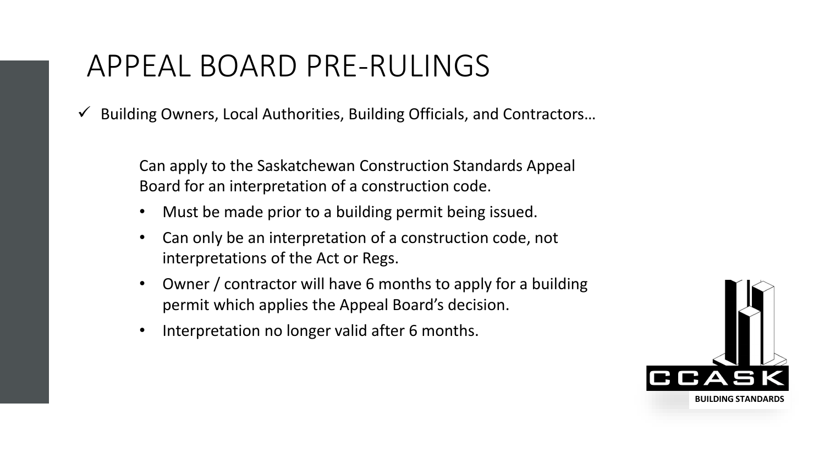#### APPEAL BOARD PRE-RULINGS

✓ Building Owners, Local Authorities, Building Officials, and Contractors…

Can apply to the Saskatchewan Construction Standards Appeal Board for an interpretation of a construction code.

- Must be made prior to a building permit being issued.
- Can only be an interpretation of a construction code, not interpretations of the Act or Regs.
- Owner / contractor will have 6 months to apply for a building permit which applies the Appeal Board's decision.
- Interpretation no longer valid after 6 months.

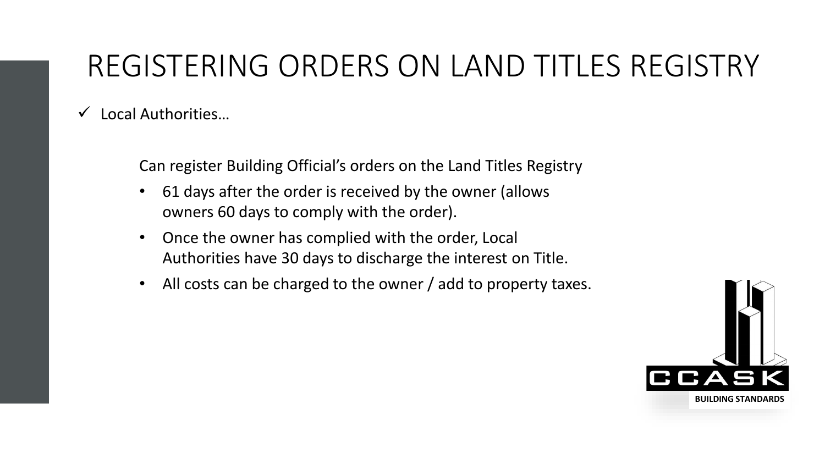## REGISTERING ORDERS ON LAND TITLES REGISTRY

 $\checkmark$  Local Authorities...

Can register Building Official's orders on the Land Titles Registry

- 61 days after the order is received by the owner (allows owners 60 days to comply with the order).
- Once the owner has complied with the order, Local Authorities have 30 days to discharge the interest on Title.
- All costs can be charged to the owner / add to property taxes.

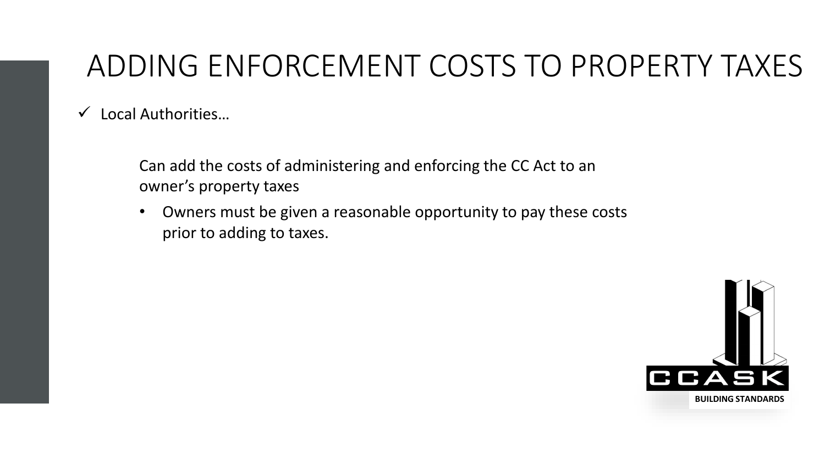## ADDING ENFORCEMENT COSTS TO PROPERTY TAXES

 $\checkmark$  Local Authorities...

Can add the costs of administering and enforcing the CC Act to an owner's property taxes

• Owners must be given a reasonable opportunity to pay these costs prior to adding to taxes.

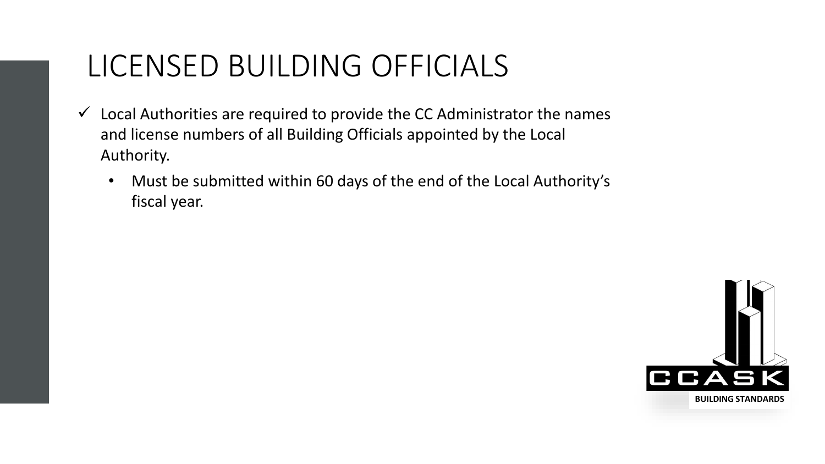#### LICENSED BUILDING OFFICIALS

- $\checkmark$  Local Authorities are required to provide the CC Administrator the names and license numbers of all Building Officials appointed by the Local Authority.
	- Must be submitted within 60 days of the end of the Local Authority's fiscal year.

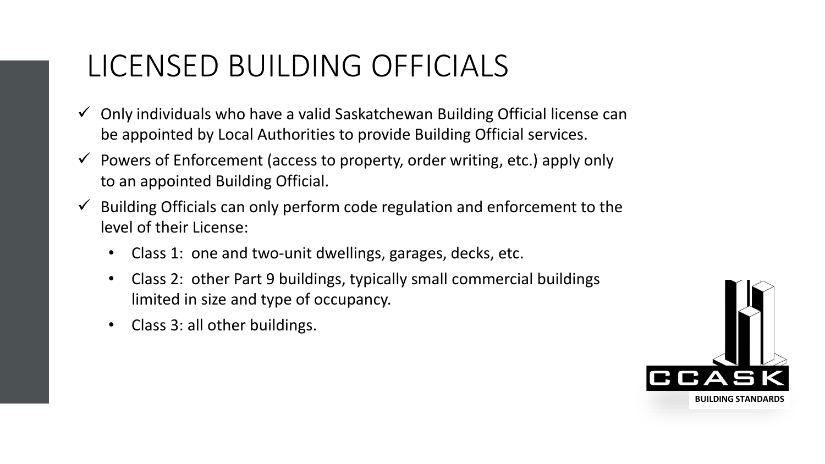### LICENSED BUILDING OFFICIALS

- $\checkmark$  Only individuals who have a valid Saskatchewan Building Official license can be appointed by Local Authorities to provide Building Official services.
- $\checkmark$  Powers of Enforcement (access to property, order writing, etc.) apply only to an appointed Building Official.
- $\checkmark$  Building Officials can only perform code regulation and enforcement to the level of their License:
	- Class 1: one and two-unit dwellings, garages, decks, etc.
	- Class 2: other Part 9 buildings, typically small commercial buildings limited in size and type of occupancy.
	- Class 3: all other buildings.